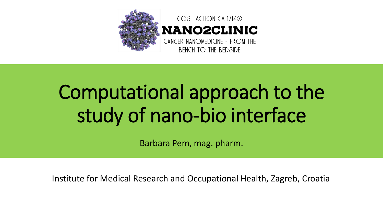

#### COST ACTION CA 17140 **NANO2CLINIC** CANCER NANOMEDICINE - FROM THE

**BENCH TO THE BEDSIDE** 

# Computational approach to the study of nano-bio interface

Barbara Pem, mag. pharm.

Institute for Medical Research and Occupational Health, Zagreb, Croatia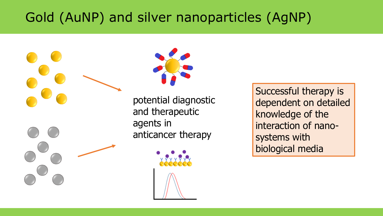## Gold (AuNP) and silver nanoparticles (AgNP)



Successful therapy is dependent on detailed knowledge of the interaction of nanosystems with biological media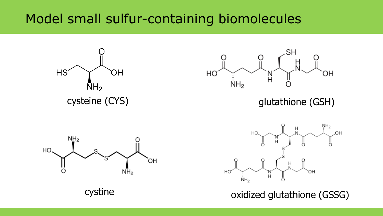#### Model small sulfur-containing biomolecules





cysteine (CYS) and the control of the glutathione (GSH)





cystine oxidized glutathione (GSSG)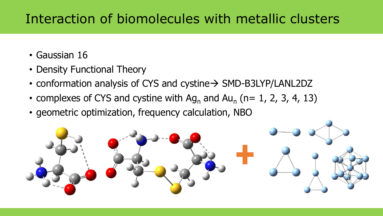#### Interaction of biomolecules with metallic clusters

- Gaussian 16
- Density Functional Theory
- conformation analysis of CYS and cystine→ SMD-B3LYP/LANL2DZ
- complexes of CYS and cystine with  $Ag_n$  and  $Au_n$  (n= 1, 2, 3, 4, 13)
- geometric optimization, frequency calculation, NBO

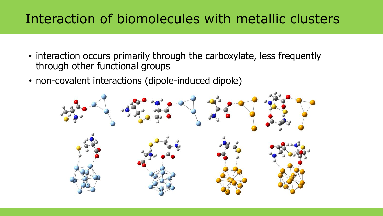#### Interaction of biomolecules with metallic clusters

- interaction occurs primarily through the carboxylate, less frequently through other functional groups
- non-covalent interactions (dipole-induced dipole)

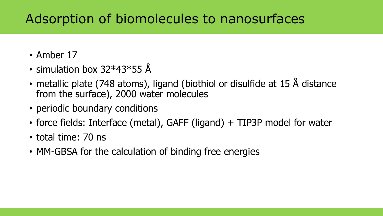#### Adsorption of biomolecules to nanosurfaces

- Amber 17
- simulation box 32\*43\*55 Å
- metallic plate (748 atoms), ligand (biothiol or disulfide at 15 Å distance from the surface), 2000 water molecules
- periodic boundary conditions
- force fields: Interface (metal), GAFF (ligand) + TIP3P model for water
- total time: 70 ns
- MM-GBSA for the calculation of binding free energies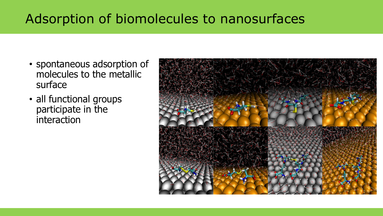### Adsorption of biomolecules to nanosurfaces

- spontaneous adsorption of molecules to the metallic surface
- all functional groups participate in the interaction

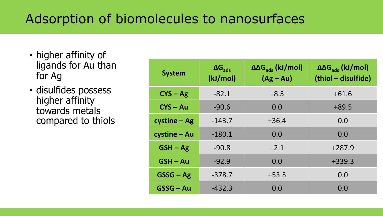### Adsorption of biomolecules to nanosurfaces

- higher affinity of ligands for Au than for Ag
- disulfides possess higher affinity towards metals compared to thiols

| <b>System</b>    | $\Delta G_{ads}$<br>(kJ/mol) | $\Delta\Delta G_{\text{ads}}$ (kJ/mol)<br>$(Ag-Au)$ | $\Delta\Delta G_{\rm ads}$ (kJ/mol)<br>(thiol - disulfide) |
|------------------|------------------------------|-----------------------------------------------------|------------------------------------------------------------|
| $CYS - Ag$       | $-82.1$                      | $+8.5$                                              | $+61.6$                                                    |
| $CYS - Au$       | $-90.6$                      | 0.0                                                 | $+89.5$                                                    |
| $c$ ystine – Ag  | $-143.7$                     | $+36.4$                                             | 0.0                                                        |
| cystine - Au     | $-180.1$                     | 0.0                                                 | 0.0                                                        |
| $GSH - Ag$       | $-90.8$                      | $+2.1$                                              | $+287.9$                                                   |
| $GSH - Au$       | $-92.9$                      | 0.0                                                 | $+339.3$                                                   |
| $GSSG - Ag$      | $-378.7$                     | $+53.5$                                             | 0.0                                                        |
| <b>GSSG - Au</b> | $-432.3$                     | 0.0                                                 | 0.0                                                        |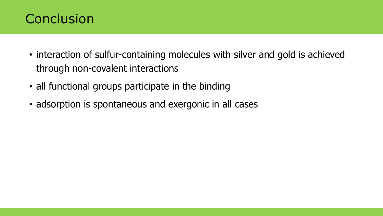#### **Conclusion**

- interaction of sulfur-containing molecules with silver and gold is achieved through non-covalent interactions
- all functional groups participate in the binding
- adsorption is spontaneous and exergonic in all cases